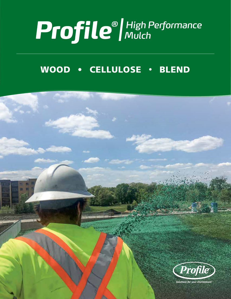# Profile<sup>®</sup>/High Performance

# WOOD • CELLULOSE • BLEND

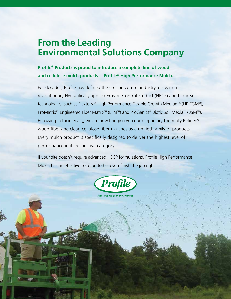# **From the Leading Environmental Solutions Company**

## **Profile® Products is proud to introduce a complete line of wood and cellulose mulch products—Profile® High Performance Mulch.**

For decades, Profile has defined the erosion control industry, delivering revolutionary Hydraulically applied Erosion Control Product (HECP) and biotic soil technologies, such as Flexterra® High Performance-Flexible Growth Medium® (HP-FGM®), ProMatrix™ Engineered Fiber Matrix™ (EFM™) and ProGanics® Biotic Soil Media™ (BSM™). Following in their legacy, we are now bringing you our proprietary Thermally Refined® wood fiber and clean cellulose fiber mulches as a unified family of products. Every mulch product is specifically designed to deliver the highest level of performance in its respective category.

If your site doesn't require advanced HECP formulations, Profile High Performance Mulch has an effective solution to help you finish the job right.



**Solutions for your Environment**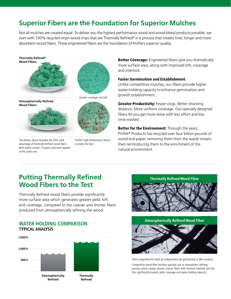# **Superior Fibers are the Foundation for Superior Mulches**

Not all mulches are created equal. To deliver you the highest performance wood and wood-blend products possible, we start with 100% recycled virgin wood chips that are Thermally Refined<sup>®</sup> in a process that creates finer, longer and more absorbent wood fibers. These engineered fibers are the foundation of Profile's superior quality.



**Atmospherically Refined Wood Fibers**



The photos above illustrate the 30% yield advantage of Thermally Refined wood fibers. Both bowls contain 14 grams and were applied at the same rate.



Profile® High Performance Mulch is simply the best.

Better Coverage: Engineered fibers give you dramatically more surface area, along with improved loft, coverage and interlock.

## Faster Germination and Establishment:

Unlike competitive mulches, our fibers provide higher water-holding capacity to enhance germination and growth establishment.

**Greater Productivity: Fewer clogs. Better shooting** distance. More uniform coverage. Our specially designed fibers let you get more done with less effort and less time wasted.

Better for the Environment: Through the years, Profile® Products has recycled over four billion pounds of wood and paper, removing them from the waste stream, then reintroducing them to the enrichment of the natural environment.

## **Putting Thermally Refined Wood Fibers to the Test**

Thermally Refined wood fibers provide significantly more surface area which generates greater yield, loft and coverage, compared to the coarser and shorter fibers produced from atmospherically refining the wood.

## **WATER-HOLDING COMPARISON TYPICAL ANALYSIS**



**Thermally Refined Wood Fiber**





Fibers magnified 45 times by independent lab specializing in fiber analysis

Competitive wood fiber mulches typically use an atmospheric refining process, which creates shorter, coarser fibers with minimal interlock and loft. This significantly impacts yield, coverage and water-holding capacity.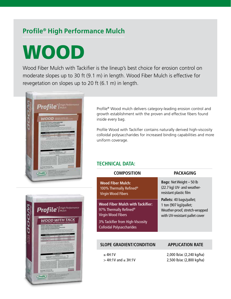# **Profile® High Performance Mulch**

# WOOD

Wood Fiber Mulch with Tackifier is the lineup's best choice for erosion control on moderate slopes up to 30 ft (9.1 m) in length. Wood Fiber Mulch is effective for revegetation on slopes up to 20 ft (6.1 m) in length.



Profile® Wood mulch delivers category-leading erosion control and growth establishment with the proven and effective fibers found inside every bag.

Profile Wood with Tackifier contains naturally derived high-viscosity colloidal polysaccharides for increased binding capabilities and more uniform coverage.

## **TECHNICAL DATA:**

97% Virg



| <b>COMPOSITION</b>                                                                                         | <b>PACKAGING</b>                                                                                                       |  |  |
|------------------------------------------------------------------------------------------------------------|------------------------------------------------------------------------------------------------------------------------|--|--|
| <b>Wood Fiber Mulch:</b><br>100% Thermally Refined <sup>®</sup><br><b>Virgin Wood Fibers</b>               | <b>Bags: Net Weight - 50 lb</b><br>(22.7 kg) UV- and weather-<br>resistant plastic film                                |  |  |
| <b>Wood Fiber Mulch with Tackifier:</b><br>97% Thermally Refined <sup>®</sup><br><b>Virgin Wood Fibers</b> | Pallets: 40 bags/pallet;<br>1 ton (907 kg)/pallet;<br>Weather-proof, stretch-wrapped<br>with UV-resistant pallet cover |  |  |
| 3% Tackifier from High-Viscosity<br><b>Colloidal Polysaccharides</b>                                       |                                                                                                                        |  |  |
|                                                                                                            |                                                                                                                        |  |  |
| <b>SLOPE GRADIENT/CONDITION</b>                                                                            | <b>APPLICATION RATE</b>                                                                                                |  |  |
| $<$ 4H:1V                                                                                                  | 2,000 lb/ac (2,240 kg/ha)                                                                                              |  |  |

> 4H:1V and ≤ 3H:1V

2,000 lb/ac (2,240 kg/ha) 2,500 lb/ac (2,800 kg/ha)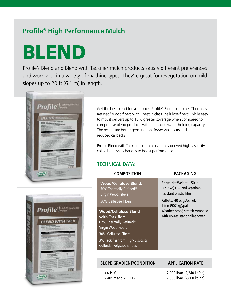# **Profile® High Performance Mulch**

# BLEND

Profile's Blend and Blend with Tackifier mulch products satisfy different preferences and work well in a variety of machine types. They're great for revegetation on mild slopes up to 20 ft (6.1 m) in length.



Get the best blend for your buck. Profile® Blend combines Thermally Refined<sup>®</sup> wood fibers with "best in class" cellulose fibers. While easy to mix, it delivers up to 15% greater coverage when compared to competitive blend products with enhanced water-holding capacity. The results are better germination, fewer washouts and reduced callbacks.

Profile Blend with Tackifier contains naturally derived high-viscosity colloidal polysaccharides to boost performance.

## **TECHNICAL DATA:**



| <b>COMPOSITION</b>                                                                                         | PACKAGING                                                                               |  |  |
|------------------------------------------------------------------------------------------------------------|-----------------------------------------------------------------------------------------|--|--|
| <b>Wood/Cellulose Blend:</b><br>70% Thermally Refined <sup>®</sup><br>Virgin Wood Fibers                   | <b>Bags: Net Weight - 50 lb</b><br>(22.7 kg) UV- and weather-<br>resistant plastic film |  |  |
| 30% Cellulose Fibers                                                                                       | Pallets: 40 bags/pallet;<br>1 ton (907 kg)/pallet;                                      |  |  |
| <b>Wood/Cellulose Blend</b><br>with Tackifier:<br>67% Thermally Refined <sup>®</sup><br>Virgin Wood Fibers | Weather-proof, stretch-wrapped<br>with UV-resistant pallet cover                        |  |  |
| 30% Cellulose Fibers                                                                                       |                                                                                         |  |  |
| 3% Tackifier from High-Viscosity<br><b>Colloidal Polysaccharides</b>                                       |                                                                                         |  |  |
|                                                                                                            |                                                                                         |  |  |

## **SLOPE GRADIENT/CONDITION APPLICATION RATE**

≤ 4H:1V > 4H:1V and ≤ 3H:1V

2,000 lb/ac (2,240 kg/ha) 2,500 lb/ac (2,800 kg/ha)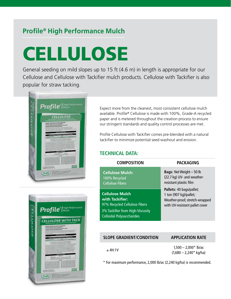# **Profile® High Performance Mulch**

# **CELLULOSE**

General seeding on mild slopes up to 15 ft (4.6 m) in length is appropriate for our Cellulose and Cellulose with Tackifier mulch products. Cellulose with Tackifier is also popular for straw tacking.



Expect more from the cleanest, most consistent cellulose mulch available. Profile® Cellulose is made with 100%, Grade-A recycled paper and is metered throughout the creation process to ensure our stringent standards and quality control processes are met.

Profile Cellulose with Tackifier comes pre-blended with a natural tackifier to minimize potential seed washout and erosion.

## **TECHNICAL DATA:**

| <b>COMPOSITION</b>                                                                                                                                 | <b>PACKAGING</b>                                                                                                       |  |  |
|----------------------------------------------------------------------------------------------------------------------------------------------------|------------------------------------------------------------------------------------------------------------------------|--|--|
| <b>Cellulose Mulch:</b><br>100% Recycled<br><b>Cellulose Fibers</b>                                                                                | <b>Bags: Net Weight - 50 lb</b><br>(22.7 kg) UV- and weather-<br>resistant plastic film                                |  |  |
| <b>Cellulose Mulch</b><br>with Tackifier:<br>97% Recycled Cellulose Fibers<br>3% Tackifier from High-Viscosity<br><b>Colloidal Polysaccharides</b> | Pallets: 40 bags/pallet;<br>1 ton (907 kg)/pallet;<br>Weather-proof, stretch-wrapped<br>with UV-resistant pallet cover |  |  |

## **SLOPE GRADIENT/CONDITION APPLICATION RATE**

 $≤ 4H:1V$  1,500 – 2,000\* lb/ac  $(1,680 - 2,240*$  kg/ha)

\* For maximum performance, 2,000 lb/ac (2,240 kg/ha) is recommended.

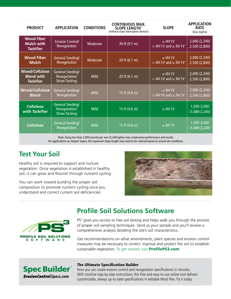| <b>PRODUCT</b>                                                 | <b>APPLICATION</b>                                        | <b>CONDITIONS</b> | <b>CONTINUOUS MAX.</b><br><b>SLOPE LENGTH*</b><br>(without slope interruption devices) | <b>SLOPE</b>                                      | <b>APPLICATION</b><br><b>RATE</b><br>lb/ac (kg/ha) |
|----------------------------------------------------------------|-----------------------------------------------------------|-------------------|----------------------------------------------------------------------------------------|---------------------------------------------------|----------------------------------------------------|
| <b>Wood Fiber</b><br><b>Mulch with</b><br><b>Tackifier</b>     | <b>Erosion Control/</b><br>Revegetation                   | Moderate          | 30 ft (9.1 m)                                                                          | $\leq 4H:1V$<br>$>$ 4H:1V and $\leq$ 3H:1V        | 2,000 (2,240)<br>2,500 (2,800)                     |
| <b>Wood Fiber</b><br><b>Mulch</b>                              | <b>General Seeding/</b><br>Revegetation                   | Moderate          | 20 ft (6.1 m)                                                                          | $\le$ 4H:1V<br>$>$ 4H:1V and $\leq$ 3H:1V         | 2,000 (2,240)<br>2,500 (2,800)                     |
| <b>Wood/Cellulose</b><br><b>Blend with</b><br><b>Tackifier</b> | General Seeding/<br>Revegetation/<br><b>Straw Tacking</b> | <b>Mild</b>       | 20 ft (6.1 m)                                                                          | $\leq$ 4H:1V<br>$\geq 4H$ : 1V and $\leq 3H$ : 1V | 2,000 (2,240)<br>2,500 (2,800)                     |
| <b>Wood/Cellulose</b><br><b>Blend</b>                          | <b>General Seeding/</b><br>Revegetation                   | <b>Mild</b>       | 15 ft (4.6 m)                                                                          | $\leq$ 4H:1V<br>$>$ 4H:1V and $\leq$ 3H:1V        | 2,000 (2,240)<br>2,500 (2,800)                     |
| <b>Cellulose</b><br>with Tackifier                             | General Seeding/<br>Revegetation/<br><b>Straw Tacking</b> | <b>Mild</b>       | 15 ft (4.6 m)                                                                          | $\leq$ 4H:1V                                      | 1,500-2,000<br>$(1,680-2,240)$                     |
| <b>Cellulose</b>                                               | General Seeding/<br>Revegetation                          | <b>Mild</b>       | 15 ft (4.6 m)                                                                          | $\leq$ 4H:1V                                      | 1,500-2,000<br>$(1,680-2,240)$                     |

Note: Using less than 2,000 pounds per acre (2,240 kg/ha) may compromise performance and results.

For applications on steeper slopes, the maximum slope length may need to be reduced based on actual site conditions.

## **Test Your Soil**

Healthy soil is required to support and nurture vegetation. Once vegetation is established in healthy soil, it can grow and flourish through nutrient cycling.

You can work toward building the proper soil composition to promote nutrient cycling once you understand and correct current soil deficiencies.





## **Profile Soil Solutions Software**

PS<sup>3</sup> gives you access to free soil testing and helps walk you through the process of proper soil sampling techniques. Send us your sample and you'll receive a comprehensive analysis detailing the site's soil characteristics.

Get recommendations on what amendments, plant species and erosion control measures may be necessary to correct, improve and protect the soil to establish sustainable vegetation. To get started, visit **ProfilePS3.com**.



Now you can create erosion control and revegetation specifications in minutes. With intuitive step-by-step instructions, this free and easy-to-use online tool delivers customizable, always up-to-date specifications in editable Word files. Try it today.